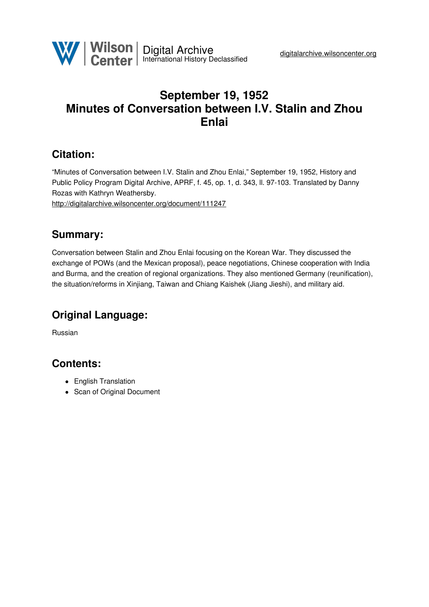

# **September 19, 1952 Minutes of Conversation between I.V. Stalin and Zhou Enlai**

### **Citation:**

"Minutes of Conversation between I.V. Stalin and Zhou Enlai," September 19, 1952, History and Public Policy Program Digital Archive, APRF, f. 45, op. 1, d. 343, ll. 97-103. Translated by Danny Rozas with Kathryn Weathersby.

<http://digitalarchive.wilsoncenter.org/document/111247>

#### **Summary:**

Conversation between Stalin and Zhou Enlai focusing on the Korean War. They discussed the exchange of POWs (and the Mexican proposal), peace negotiations, Chinese cooperation with India and Burma, and the creation of regional organizations. They also mentioned Germany (reunification), the situation/reforms in Xinjiang, Taiwan and Chiang Kaishek (Jiang Jieshi), and military aid.

## **Original Language:**

Russian

#### **Contents:**

- English Translation
- Scan of Original Document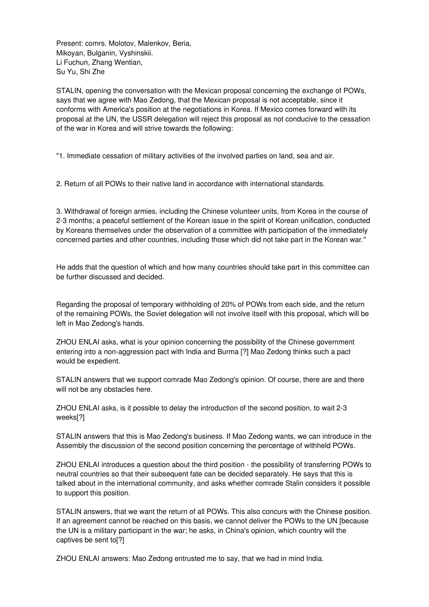Present: comrs. Molotov, Malenkov, Beria, Mikoyan, Bulganin, Vyshinskii. Li Fuchun, Zhang Wentian, Su Yu, Shi Zhe

STALIN, opening the conversation with the Mexican proposal concerning the exchange of POWs, says that we agree with Mao Zedong, that the Mexican proposal is not acceptable, since it conforms with America's position at the negotiations in Korea. If Mexico comes forward with its proposal at the UN, the USSR delegation will reject this proposal as not conducive to the cessation of the war in Korea and will strive towards the following:

"1. Immediate cessation of military activities of the involved parties on land, sea and air.

2. Return of all POWs to their native land in accordance with international standards.

3. Withdrawal of foreign armies, including the Chinese volunteer units, from Korea in the course of 2-3 months; a peaceful settlement of the Korean issue in the spirit of Korean unification, conducted by Koreans themselves under the observation of a committee with participation of the immediately concerned parties and other countries, including those which did not take part in the Korean war."

He adds that the question of which and how many countries should take part in this committee can be further discussed and decided.

Regarding the proposal of temporary withholding of 20% of POWs from each side, and the return of the remaining POWs, the Soviet delegation will not involve itself with this proposal, which will be left in Mao Zedong's hands.

ZHOU ENLAI asks, what is your opinion concerning the possibility of the Chinese government entering into a non-aggression pact with India and Burma [?] Mao Zedong thinks such a pact would be expedient.

STALIN answers that we support comrade Mao Zedong's opinion. Of course, there are and there will not be any obstacles here.

ZHOU ENLAI asks, is it possible to delay the introduction of the second position, to wait 2-3 weeks[?]

STALIN answers that this is Mao Zedong's business. If Mao Zedong wants, we can introduce in the Assembly the discussion of the second position concerning the percentage of withheld POWs.

ZHOU ENLAI introduces a question about the third position - the possibility of transferring POWs to neutral countries so that their subsequent fate can be decided separately. He says that this is talked about in the international community, and asks whether comrade Stalin considers it possible to support this position.

STALIN answers, that we want the return of all POWs. This also concurs with the Chinese position. If an agreement cannot be reached on this basis, we cannot deliver the POWs to the UN [because the UN is a military participant in the war; he asks, in China's opinion, which country will the captives be sent to[?]

ZHOU ENLAI answers: Mao Zedong entrusted me to say, that we had in mind India.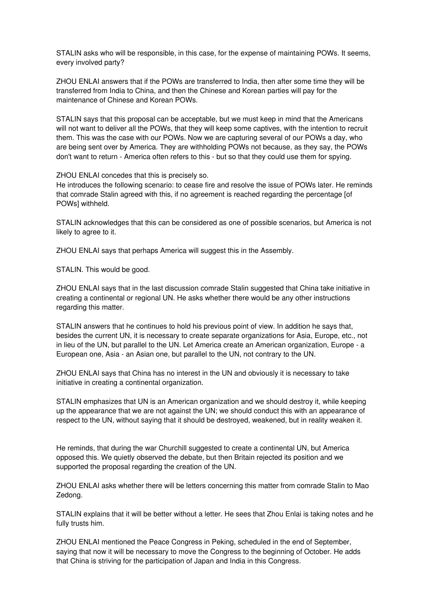STALIN asks who will be responsible, in this case, for the expense of maintaining POWs. It seems, every involved party?

ZHOU ENLAI answers that if the POWs are transferred to India, then after some time they will be transferred from India to China, and then the Chinese and Korean parties will pay for the maintenance of Chinese and Korean POWs.

STALIN says that this proposal can be acceptable, but we must keep in mind that the Americans will not want to deliver all the POWs, that they will keep some captives, with the intention to recruit them. This was the case with our POWs. Now we are capturing several of our POWs a day, who are being sent over by America. They are withholding POWs not because, as they say, the POWs don't want to return - America often refers to this - but so that they could use them for spying.

ZHOU ENLAI concedes that this is precisely so.

He introduces the following scenario: to cease fire and resolve the issue of POWs later. He reminds that comrade Stalin agreed with this, if no agreement is reached regarding the percentage [of POWs] withheld.

STALIN acknowledges that this can be considered as one of possible scenarios, but America is not likely to agree to it.

ZHOU ENLAI says that perhaps America will suggest this in the Assembly.

STALIN. This would be good.

ZHOU ENLAI says that in the last discussion comrade Stalin suggested that China take initiative in creating a continental or regional UN. He asks whether there would be any other instructions regarding this matter.

STALIN answers that he continues to hold his previous point of view. In addition he says that, besides the current UN, it is necessary to create separate organizations for Asia, Europe, etc., not in lieu of the UN, but parallel to the UN. Let America create an American organization, Europe - a European one, Asia - an Asian one, but parallel to the UN, not contrary to the UN.

ZHOU ENLAI says that China has no interest in the UN and obviously it is necessary to take initiative in creating a continental organization.

STALIN emphasizes that UN is an American organization and we should destroy it, while keeping up the appearance that we are not against the UN; we should conduct this with an appearance of respect to the UN, without saying that it should be destroyed, weakened, but in reality weaken it.

He reminds, that during the war Churchill suggested to create a continental UN, but America opposed this. We quietly observed the debate, but then Britain rejected its position and we supported the proposal regarding the creation of the UN.

ZHOU ENLAI asks whether there will be letters concerning this matter from comrade Stalin to Mao Zedong.

STALIN explains that it will be better without a letter. He sees that Zhou Enlai is taking notes and he fully trusts him.

ZHOU ENLAI mentioned the Peace Congress in Peking, scheduled in the end of September, saying that now it will be necessary to move the Congress to the beginning of October. He adds that China is striving for the participation of Japan and India in this Congress.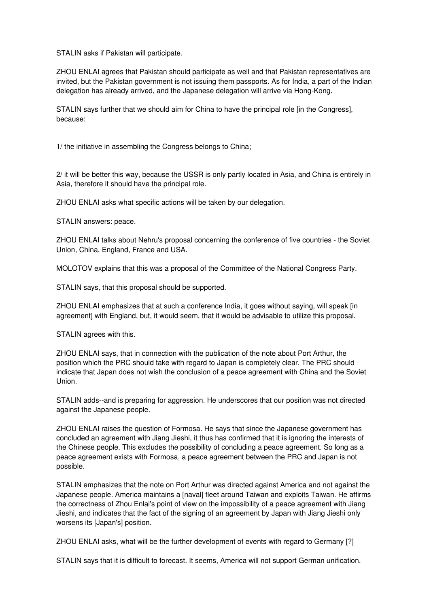STALIN asks if Pakistan will participate.

ZHOU ENLAI agrees that Pakistan should participate as well and that Pakistan representatives are invited, but the Pakistan government is not issuing them passports. As for India, a part of the Indian delegation has already arrived, and the Japanese delegation will arrive via Hong-Kong.

STALIN says further that we should aim for China to have the principal role [in the Congress], because:

1/ the initiative in assembling the Congress belongs to China;

2/ it will be better this way, because the USSR is only partly located in Asia, and China is entirely in Asia, therefore it should have the principal role.

ZHOU ENLAI asks what specific actions will be taken by our delegation.

STALIN answers: peace.

ZHOU ENLAI talks about Nehru's proposal concerning the conference of five countries - the Soviet Union, China, England, France and USA.

MOLOTOV explains that this was a proposal of the Committee of the National Congress Party.

STALIN says, that this proposal should be supported.

ZHOU ENLAI emphasizes that at such a conference India, it goes without saying, will speak [in agreement] with England, but, it would seem, that it would be advisable to utilize this proposal.

STALIN agrees with this.

ZHOU ENLAI says, that in connection with the publication of the note about Port Arthur, the position which the PRC should take with regard to Japan is completely clear. The PRC should indicate that Japan does not wish the conclusion of a peace agreement with China and the Soviet Union.

STALIN adds--and is preparing for aggression. He underscores that our position was not directed against the Japanese people.

ZHOU ENLAI raises the question of Formosa. He says that since the Japanese government has concluded an agreement with Jiang Jieshi, it thus has confirmed that it is ignoring the interests of the Chinese people. This excludes the possibility of concluding a peace agreement. So long as a peace agreement exists with Formosa, a peace agreement between the PRC and Japan is not possible.

STALIN emphasizes that the note on Port Arthur was directed against America and not against the Japanese people. America maintains a [naval] fleet around Taiwan and exploits Taiwan. He affirms the correctness of Zhou Enlai's point of view on the impossibility of a peace agreement with Jiang Jieshi, and indicates that the fact of the signing of an agreement by Japan with Jiang Jieshi only worsens its [Japan's] position.

ZHOU ENLAI asks, what will be the further development of events with regard to Germany [?]

STALIN says that it is difficult to forecast. It seems, America will not support German unification.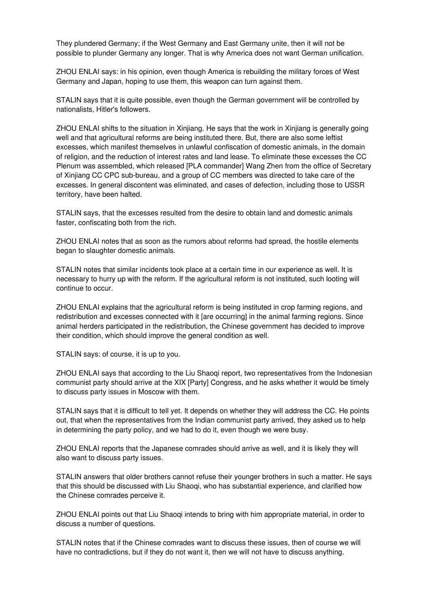They plundered Germany; if the West Germany and East Germany unite, then it will not be possible to plunder Germany any longer. That is why America does not want German unification.

ZHOU ENLAI says: in his opinion, even though America is rebuilding the military forces of West Germany and Japan, hoping to use them, this weapon can turn against them.

STALIN says that it is quite possible, even though the German government will be controlled by nationalists, Hitler's followers.

ZHOU ENLAI shifts to the situation in Xinjiang. He says that the work in Xinjiang is generally going well and that agricultural reforms are being instituted there. But, there are also some leftist excesses, which manifest themselves in unlawful confiscation of domestic animals, in the domain of religion, and the reduction of interest rates and land lease. To eliminate these excesses the CC Plenum was assembled, which released [PLA commander] Wang Zhen from the office of Secretary of Xinjiang CC CPC sub-bureau, and a group of CC members was directed to take care of the excesses. In general discontent was eliminated, and cases of defection, including those to USSR territory, have been halted.

STALIN says, that the excesses resulted from the desire to obtain land and domestic animals faster, confiscating both from the rich.

ZHOU ENLAI notes that as soon as the rumors about reforms had spread, the hostile elements began to slaughter domestic animals.

STALIN notes that similar incidents took place at a certain time in our experience as well. It is necessary to hurry up with the reform. If the agricultural reform is not instituted, such looting will continue to occur.

ZHOU ENLAI explains that the agricultural reform is being instituted in crop farming regions, and redistribution and excesses connected with it [are occurring] in the animal farming regions. Since animal herders participated in the redistribution, the Chinese government has decided to improve their condition, which should improve the general condition as well.

STALIN says: of course, it is up to you.

ZHOU ENLAI says that according to the Liu Shaoqi report, two representatives from the Indonesian communist party should arrive at the XIX [Party] Congress, and he asks whether it would be timely to discuss party issues in Moscow with them.

STALIN says that it is difficult to tell yet. It depends on whether they will address the CC. He points out, that when the representatives from the Indian communist party arrived, they asked us to help in determining the party policy, and we had to do it, even though we were busy.

ZHOU ENLAI reports that the Japanese comrades should arrive as well, and it is likely they will also want to discuss party issues.

STALIN answers that older brothers cannot refuse their younger brothers in such a matter. He says that this should be discussed with Liu Shaoqi, who has substantial experience, and clarified how the Chinese comrades perceive it.

ZHOU ENLAI points out that Liu Shaoqi intends to bring with him appropriate material, in order to discuss a number of questions.

STALIN notes that if the Chinese comrades want to discuss these issues, then of course we will have no contradictions, but if they do not want it, then we will not have to discuss anything.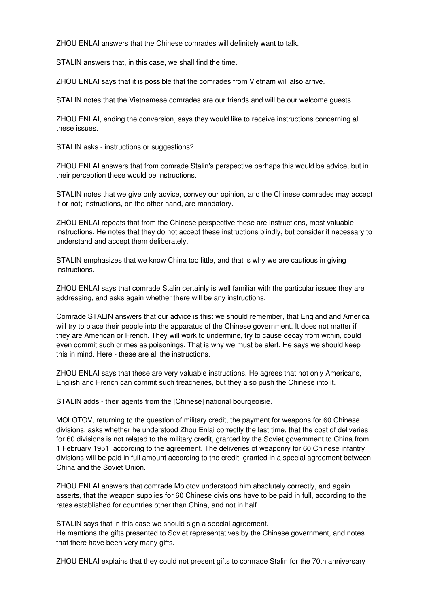ZHOU ENLAI answers that the Chinese comrades will definitely want to talk.

STALIN answers that, in this case, we shall find the time.

ZHOU ENLAI says that it is possible that the comrades from Vietnam will also arrive.

STALIN notes that the Vietnamese comrades are our friends and will be our welcome guests.

ZHOU ENLAI, ending the conversion, says they would like to receive instructions concerning all these issues.

STALIN asks - instructions or suggestions?

ZHOU ENLAI answers that from comrade Stalin's perspective perhaps this would be advice, but in their perception these would be instructions.

STALIN notes that we give only advice, convey our opinion, and the Chinese comrades may accept it or not; instructions, on the other hand, are mandatory.

ZHOU ENLAI repeats that from the Chinese perspective these are instructions, most valuable instructions. He notes that they do not accept these instructions blindly, but consider it necessary to understand and accept them deliberately.

STALIN emphasizes that we know China too little, and that is why we are cautious in giving instructions.

ZHOU ENLAI says that comrade Stalin certainly is well familiar with the particular issues they are addressing, and asks again whether there will be any instructions.

Comrade STALIN answers that our advice is this: we should remember, that England and America will try to place their people into the apparatus of the Chinese government. It does not matter if they are American or French. They will work to undermine, try to cause decay from within, could even commit such crimes as poisonings. That is why we must be alert. He says we should keep this in mind. Here - these are all the instructions.

ZHOU ENLAI says that these are very valuable instructions. He agrees that not only Americans, English and French can commit such treacheries, but they also push the Chinese into it.

STALIN adds - their agents from the [Chinese] national bourgeoisie.

MOLOTOV, returning to the question of military credit, the payment for weapons for 60 Chinese divisions, asks whether he understood Zhou Enlai correctly the last time, that the cost of deliveries for 60 divisions is not related to the military credit, granted by the Soviet government to China from 1 February 1951, according to the agreement. The deliveries of weaponry for 60 Chinese infantry divisions will be paid in full amount according to the credit, granted in a special agreement between China and the Soviet Union.

ZHOU ENLAI answers that comrade Molotov understood him absolutely correctly, and again asserts, that the weapon supplies for 60 Chinese divisions have to be paid in full, according to the rates established for countries other than China, and not in half.

STALIN says that in this case we should sign a special agreement. He mentions the gifts presented to Soviet representatives by the Chinese government, and notes that there have been very many gifts.

ZHOU ENLAI explains that they could not present gifts to comrade Stalin for the 70th anniversary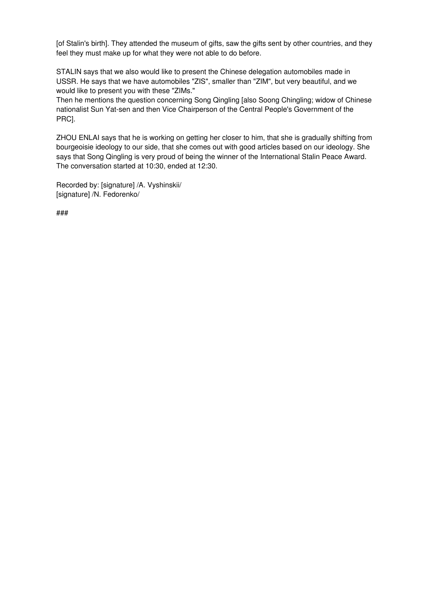[of Stalin's birth]. They attended the museum of gifts, saw the gifts sent by other countries, and they feel they must make up for what they were not able to do before.

STALIN says that we also would like to present the Chinese delegation automobiles made in USSR. He says that we have automobiles "ZIS", smaller than "ZIM", but very beautiful, and we would like to present you with these "ZIMs."

Then he mentions the question concerning Song Qingling [also Soong Chingling; widow of Chinese nationalist Sun Yat-sen and then Vice Chairperson of the Central People's Government of the PRC].

ZHOU ENLAI says that he is working on getting her closer to him, that she is gradually shifting from bourgeoisie ideology to our side, that she comes out with good articles based on our ideology. She says that Song Qingling is very proud of being the winner of the International Stalin Peace Award. The conversation started at 10:30, ended at 12:30.

Recorded by: [signature] /A. Vyshinskii/ [signature] /N. Fedorenko/

###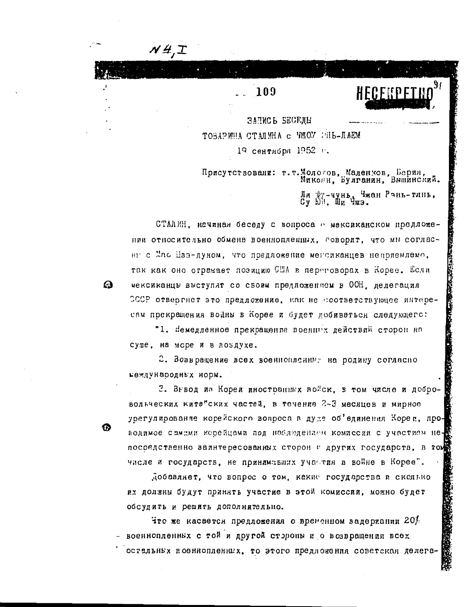109

N 4, I

 $\Omega$ 

ЗАПИСЬ БЕСЕДЫ ТОВАРИЩА СТАЛИНА с ЧНОУ DHL-ЛАЕМ 19 сентября 1952 г.

Присутствовали: т.т.Молотов, Маленков, Берия, Вышинский. Ли Фу-чунь, Чжан Рэнь-тинь,<br>Су Юн. Ши Чжэ.

HECELLPET

СТАЛИН, начиная беседу с вопроса и мексиканском предложении относительно обмена военнопленных, говорит, что мы согласны с Мло Цаэ-дуном, что предложение менсиканцев неприемлемо, так как оно отражает позицию США в перетоворах в Корее. Если мексиканцы выступят со своим предложением в ООН, делегация СССР отвергнет это предложение, как не соответствующее интересам прекращения войны в Корее и будет добиваться следующего:

"1. Немедленное прекращение воениих действий сторон но суше, на море и в воздухе.

2. Зозвращение всех военнопленных на родину согласно кемдународных норм.

З. Вывод из Кореи иностранных войск, в том числе и добровольческих ките"ских частей, в течение 2-3 месяцев и мирное урегулирование корейского вопроса в духе об'единения Коред, проводимое самими корейцами под наблюдением комиссии с участием непосредственно заянтересованных сторон и других государств, в том числе и государств, не принимавших участия в войне в Корее".

добавляет, что вопрос о том, какие государства и сколько их должны будут принять участие в этой комиссии, можно будет обсудить и решить дополнительно.

что же касается предложения о временном задержания 20% военнопленных с той и другой стороны и о возвращении всех остальных военнопленных, то этого предложения советская делега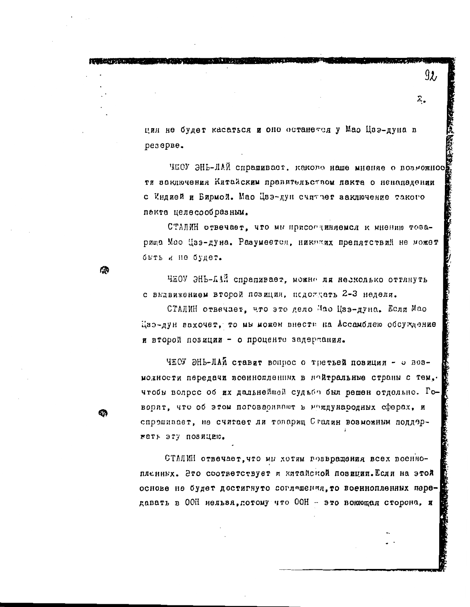ции не будет касаться и оно останется у Мао Цзэ-дуна в резерве.

ЧЖОУ ЭНЬ-ЛАЙ спрашивает, каково наше мнение о возможное ти заключения Китайским правительством пакта о ненопадении с Индией и Бирмой. Мао Цвэ-дун считлет заключение такого пакта целесообразным.

92,

 $\hat{z}$ .

СТАДИН отвечает, что мы присофтиняемся к мнению товарища Мао Наэ-дуна. Разумеется, никаких препятствий не может быть и не будет.

ЧЖОУ ЭНЬ-ЛАЙ спрапивает, можно ля несколько оттянуть с вкдвижением второй позиции, исдождать 2-3 неделя.

ദ

СТАЛИН отвечает, что это дело Мао Цзэ-дуна. Если Мао Цаэ-дун вахочет, то мы можем внести на Ассамблею обсукдение и второй позиции - о проценто задертания.

ЧЖСУ ЭНЬ-ЛАЙ ставит вопрос о третьей повиции - э вовпозности передачи военнопленных в нойтральные страны с тем, чтобы вопрес об их дальнейшей судьба был решен отдольно. Говорят, что об этом поговаривают ь наждунаводных сферах, и спрашивает, не считает ли товарищ Сталин возможным поддорнать эту позицию.

СТАДИН отвечает, что мы хотим гозвращения всех военнопленных. Это соответствует и китайской позиции. Если на этой основе не будет достигнуто соглашения, то военнопленных передавать в ООН нельзя, потому что ООН - это воюющая сторона, я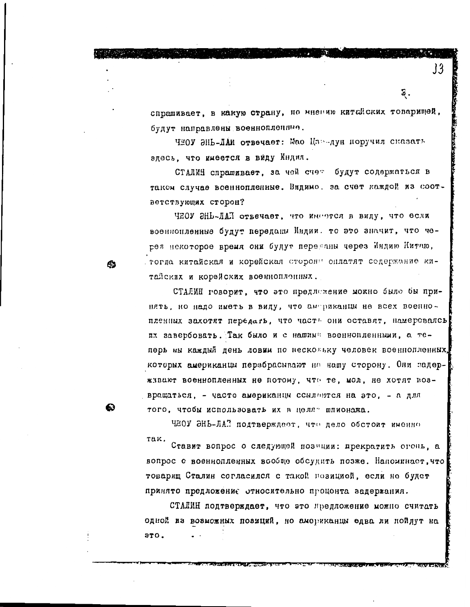спрашивает, в какую страну, но мнению китайских товорищей, будут направлены военнопленные.

ЧНОУ ЭНЬ-ЛАИ отвечает: Мао Цзе-дун поручил сказать здесь, что имеется в виду Индия.

СТАЛИН спрашивает, за чей счет будут содержаться в таком случае военнопленные. Видимо. за счет каждой из соответствующих сторон?

ЧЕОУ ЭНЬ-ЛАП отвечает, что имертся в виду, что если военнопленные будут переданы Индии. то это значит, что через некоторое время они будут перевоны через Индию Китою, тогда китайская и корейская сторони оплатят содержание киталских и корейских военноплонных.

СТАЛИН говорит, что это предлежение можно было бы принять, но надо иметь в виду, что амириканцы не всех военнопленных захотят передать, что часть они оставят, намеревалсь их завербовать. Так было и с нашим военнопленными, а теперь мы каждый день ловим по нескольку человек военнопленных, которых американцы перебрасывают но нашу сторону. Они задерживают военнопленных не потому, что те, мол, не хотят возвращаться, - часто американцы ссылиются на это, - а для того, чтобы использовать их в целя ипионажа.

ЧЕОУ ЭНЬ-ЛАТ подтверждают, что дело обстоит именно TAK.

Ставит вопрос о следующей позиции: прекратить огонь, а вопрос о военнопленных вообще обсудить позже. Напоминает, что товарищ Сталин согласился с такой позицией, если не будет принято предложение относительно процента задержания.

СТАЛИН подтверждает, что это предложение можно считать одной из возможных позиций, но американцы едва ли пойдут на это.

Æ۵

ଈ

33

3.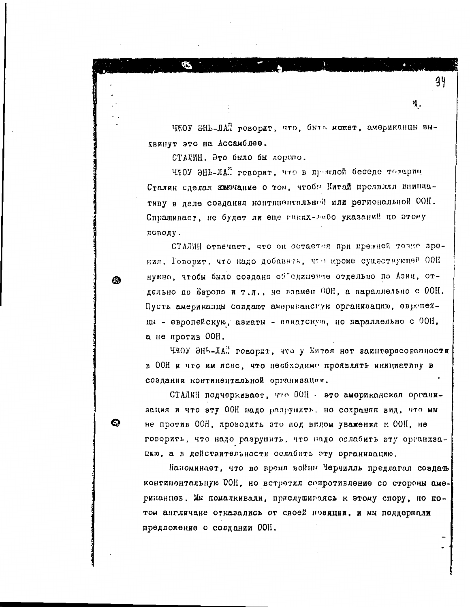ЧЕОУ ЭНЬ-ЛАЙ говорит, что, быть может, американцы вндвинут это на Ассамблее.

34

り.

СТАЛИН. Это было бы хорошо.

Ê.

Ω

ЧЖОУ ЭНЬ-ЛА" говорит, что в прошлой беседе товарищ Сталин сделал замечание о том, чтобы Китай проявлял инициативу в деле создания континептальной или региональной ООН. Спрашивает, не будет ли еще каких-либо указаний по этому поводу.

СТАЛИН отвечает, что он остается при прежней точке зрения. Говорит, что надо добавить, что кроме существующей ООН нужно, чтобы было создано облединенне отдельно по Азии, отдельно по Европе и т.д., не взамен ООН, а параллельно с ООН. Пусть американцы создают американстую организацию, еврепейцы - европейскую, авиаты - алматскую, но параллельно с ООН, а не против ООН.

ЧЖОУ ЭНЬ-ЛА" говоржт, что у Китая нет заинтересованности в ООН и что им ясно, что необходиме проявлять инициативу в создания континентальной организации.

СТАЛИН подчеркивает, что ООН - это американская организация и что эту ООН надо разрушить, но сохраняя вид, что мы не против ООН, проводить это под видом уважения к ООП, не говорить, что надо разрушить, что надо ослабить эту организацкю, а в действительности ослабить эту органивацию.

Наноминает, что во время войни Черчилль предлагал создать континентальную ООН, но встретил сопротивление со стороны американцев. Мы помалкивали, прислушивалсь к этому спору, но потом англичане отказались от своей позиции, и мы поддержали предложение о создании ООН.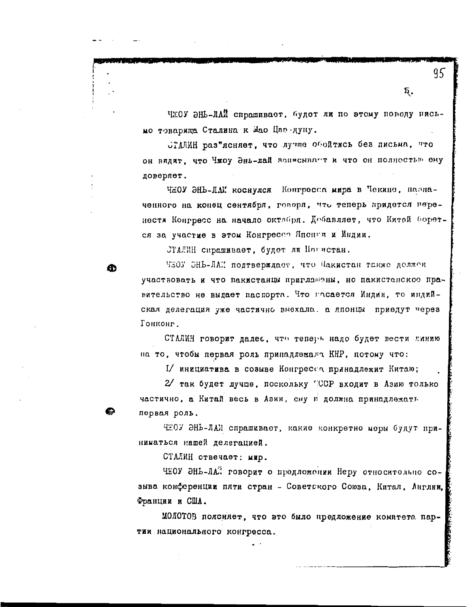ЧЖОУ ЭНЬ-ЛАЙ спрашивает, будет ли по этому новоду нисьмо товарища Сталина к Мао Цво-дуну.

СТАЛИН раз"ясняет, что лучше обойтись без письма, что он видит, что Чжоу Энь-дай воинснилт и что он полностью ему доверяет.

ЧЕОУ ЭНЬ-ЛАК коснулся Конгросса мира в Чекино, пазначенного на конец сентября, говоря, что теперь придется перености Конгресс на начало октября. Добавляет, что Китай борется за участие в этом Конгрессо Японии и Индии.

СТАЛИН спрашивает, будет ли Погистан.

ЧЖОУ ЭНЬ-ЛАИ подтверждает, что Накистан также должен участвовать и что пакистанцы пригланены, но пакистанское правительство не выдает паспорта. Что ирсается Индии, то индийская делегация уже частично внехала. а японцы приедут через Гонконг.

СТАЛИН говорит далее, что теперь надо будет вести имнию на то, чтобы первая роль принадлежала КНР, потому что:

I/ инициатива в созыве Конгресса прянадлежит Китаю;

2/ так будет лучше, поскольку "ССР входит в Азию только частично, а Китай весь в Азии, сму и должна принадлежать первая роль.

ЧЕОУ ЭНЬ-ЛАИ спрашивают, какие конкретно меры будут приниматься нашей делегацией.

СТАЛИН отвечает: мир.

A

ЧЕОУ ЭНЬ-ЛА" говорит о предложении Неру относительно созыва конференции пяти стран - Советского Союза, Китая, Англии, Франции и США.

МОЛОТОВ поясняет, что это было предложение комитета партии национального конгресса.

95

র.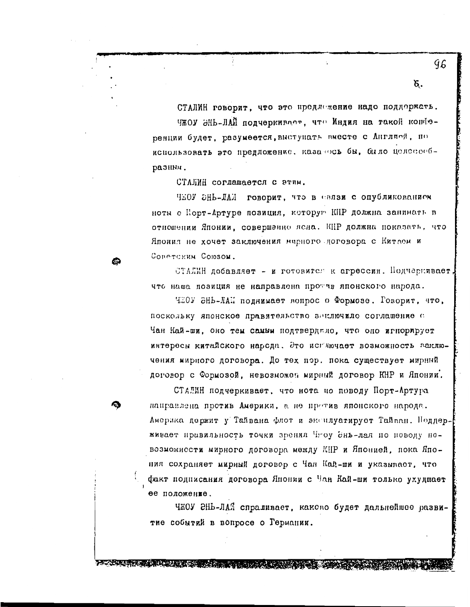СТАЛИН говорит, что это предлежение надо поддоржать. ЧЖОУ ЭНЬ-ЛАЙ подчеркивают, что Индия на такой конференции будет, разумеется, выступать вместе с Англиой, но использовать это предложение, казанось бы, было целесообразнни.

СТАЛИН соглашается с этим.

ЧЕОУ ЭНЬ-ЛАИ говорит, что в связи с опубликованием ноты о Порт-Артуре позиция, которую КИР должна занимать в отношении Японии, совершенно ясна. КИР должна показать, что Япония не хочет заключения мирного договора с Китаем и Советским Союзом.

СТАЛИН добавляет - и готовится к агрессии. Подчериявает, что наша позиция не направлена протчв японского народа.

ЧЕОУ ЭНЬ-ЛАЕ поднимает вопрос о Формозе. Говорит, что, поскольку японское правятельство заключило соглашение с Чан Кай-ши, оно тем самым подтвердило, что оно игнорирует интересы китайского нареда. Это исплючает возможность заключения мирного договора. До тех пор. пока существует мирний договор с Формозой, невозможет мирный договор КНР и Японии.

СТАЛИН подчеркивает, что нота по поводу Порт-Артура направлена против Америки, а не против японского народа. Америка держит у Тайвана флот и эксплуатирует Тайван. Поддерживает правильность точки зрения Чгоу бнь-лая по поводу новозможности мирного договора между КНР и Японией, пока Япония сохраняет мирный договор с Чан Кай-ши и указывает, что факт подписания договора Японии с Чан Кай-ши только ухудшает ее положение.

ЧЖОУ ЭНЬ-ЛАЙ спраливает, каково будет дальнейшее развитие событий в вопросе о Германии.

THE STATE PROPERTY AND RELEASED FOR THE TABLE TO THE RELEASED FOR THE RELEASED FOR

 $96$ 

Ծ.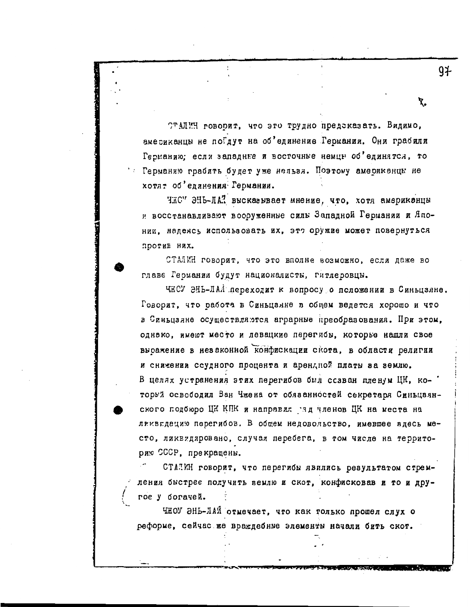СТАЛИН говорит, что это трудно предсказать. Видимо, американцы не пойдут на об'единение Германии. Они грабили Германию; если западные и восточные немцы об'единятся, то • Германию грабить будет уже нельзя. Поэтому американцы не хотят об'єдинения Германии.

ЧЖС" ЭНЬ-ЛАЙ высказывает мнение, что, хотя американцы и восстанавливают вооруженные силь Западной Германии и Японии, надеясь использовать их, это оружие может повернуться против них.

СТАЛИН говорят, что это вполне возможно, если даже во главе Геомании будут националисты, гитлеровцы.

ЧЖСУ ЭНЬ-ЛАЛ переходит к вопросу о псложении в Синьцзане. Говорят, что работа в Синьцаяне в общем ведется хорошо и что в Синьцаяне осуществляются аграрные преобразования. При этом, однако, имеют место и левацкие перегибы, которье нашли свое выражение в незаконной конфискации скота, в области религии и снижении ссудного процента и арендной платы за землю. В целях устранения этих перегибов был ссаван пленум ЦК, который освободил Ван Чжена от обяванностей секретаря Синьцзянского подбюро ЦК КПК и направил зад членов ЦК на места на ликвидацию перегибов. В общем недовольство, имевшее здесь место, ликвидировано, случая перебега, в том числе на территорию СССР, прекращены.

СТАЛИН говорит, что перегибы явились результатом стремления быстрее получить вемлю и скот, конфисковав и то и друroe y dorayed.

ЧЖОУ ӘНЬ-ЛАЙ отмечает, что как только прошел слух о реформе, сейчас же враждебные элементы начали бить скот.

97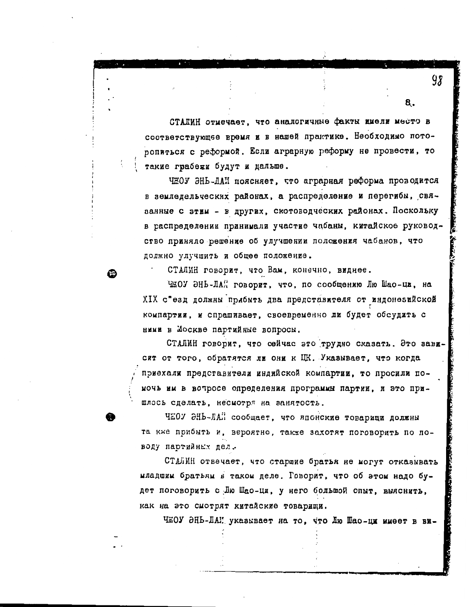СТАЛИН отмечает, что аналогичные факты имели место в соответствующее время и в нашей практике. Необходимо поторопиться с реформой. Если аграрную реформу не провести, то такие грабеки будут и дальше.

ЧЕОУ ЭНЬ-ЛАИ поясняет, что аграрная реформа проводится в земледельческих районах, а распределение и перегибы, свяванные с этим - в других, скотоводческих районах. Поскольку в распределении принимали участве чабаны, китайское руководство приняло решение об улучшении положения чабанов, что должно улучшить и общее положение.

СТАЛИН говорит, что Вам, конечно, виднее.

⊕

ЧЕОУ ЭНЬ-ЛАЙ говорит, что, по сообщению Лю Шао-ци, на XIX с"езд должны прибыть два представителя от индонезийской компартин, и спрашивает, своевременно ли будет обсудить с ними в Москве партийные вопросы.

СТАЛИН говорит, что сейчас это трудно сказать. Это зависят от того, обратятся ли они к ЦК. Указывает, что когда приехали представители индийской компартии, то просили помочь им в вотросе определения программы партии, и это пришлось сделать, несмотря на занятость.

ЧЕОУ ЭНЬ-ЛАП сообщает, что японские товарищи должны та кже прибыть и, вероятно, также захотят поговорить по поводу партийных дел.

СТАЛИН отвечает, что старшие братья не могут отказывать младшим братьям в таком деле. Говорит, что об этом надо будет поговорить с Лю Шао-ци, у него большой опыт, выяснить, как на это смотрят китайские товарищи.

ЧЖОУ ЭНЬ-ЛАИ указывает на то, что Лю Шао-ци имеет в ви-

98

8.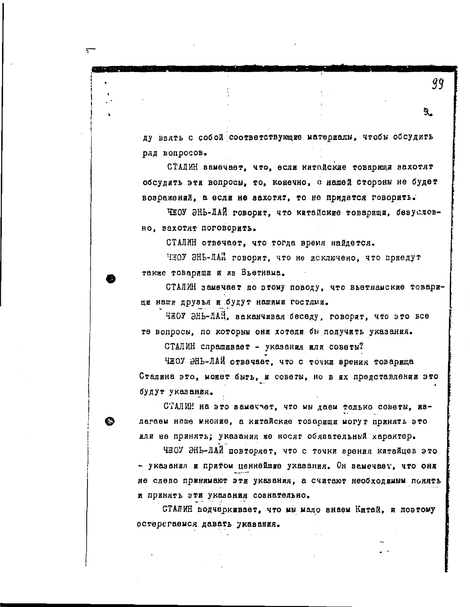ду взять с собой соответствующие материалы, чтобы обсудить рад вопросов.

СТАЛИН замечает, что, если китайские товарищи захотят обсудить эти вопросы, то, конечно, с нашей стороны не будет возражений, а если не захотят, то не придется говорить.

ЧЕОУ ЭНЬ-ЛАЙ говорит, что китайские товарищи, безусловно, вахотят поговорить.

СТАЛИН отвечает, что тогда время найдется.

ЧЕОУ ЭНЬ-ЛАЙ говорит, что не исключено, что приедут также товарищи и из Вьетнама.

СТАЛИН замечает по этому поводу, что вьетнамские товарищи наши друзья и будут нашими гостями.

ЧЖОУ ЭНЬ-ЛАЙ, заканчивая беседу, говорит, что это все те вопросы, по которым они хотели бы получить указания.

СТАЛИН спрашивает - указания или советы?

ЧЖОУ ЭНЬ-ЛАЙ отвечает, что с точки зрения товарища Сталина это, может быть, и советы, но в их представлении это будут указания.

СТАЛИН на это замеччет, что мы даем только советы, излагаем наше мноние, а китайские товарищи могут принять это или не принять; указания же носят обявательный характер.

ЧЕОУ ЭНЬ-ЛАЙ повторяет, что с точки врения китайцев это - указания и притом ценнейшие указания. Он замечает, что они не слепо принимают эти указания, а считают необходимым понять и принять эти указания сознательно.

СТАЛИН подчеркивает, что мы мало знаем Китай, и поэтому остерегаемся давать указания.

99

۹.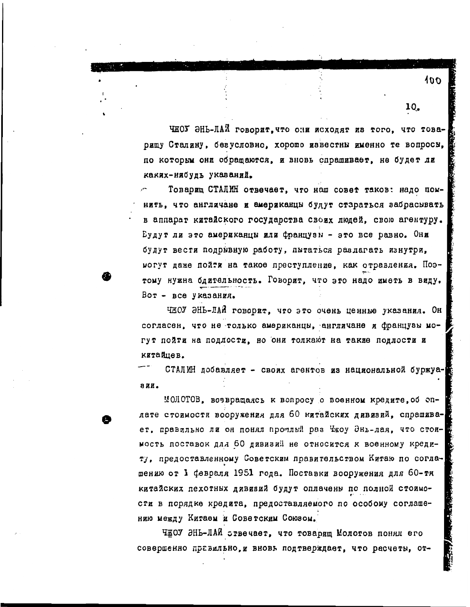ЧЖОУ ЭНЬ-ЛАЙ говорит, что они исходят из того, что товарищу Сталину, безусловно, хорошо известны именно те вопросы, по которым они обращаются, и вновь спрашивает, не будет ли каких-нибудь указаний.

100

10.

Товарищ СТАДИН отвечает, что наш совет таков: надо помнить, что англичане и американцы будут стараться забрасывать в аппарат китайского государства своих людей, свою агентуру. Еудут ли это американцы или французы - это все равно. Они будут вести подрывную работу, пытаться разлагать изнутри, могут даже пойтя на такое преступление, как отравления. Поэтому нужна блительность. Говорит, что это надо иметь в виду. Вот - все указания.

ЧЕОУ ЭНЬ-ЛАЙ говорит, что это очень ценные указания. Он согласен. что не только американцы, англичане и французы могут пойти на подлости, но они толкают на такие подлости и китайцев.

СТАЛИН добавляет - своих агентов из национальной буржуа-**BRK.** 

ИОЛОТОВ, возвращаясь к вопросу о военном кредите, об оплате стоимости вооружения для 60 китайских дивизий, спрашивает, правильно ли он понял протлый раз Чжоу Энь-лая, что стоимость поставок для 60 дивизий не относится к военному кредиту, предоставленному Советским правительством Китаю по соглашению от 1 февраля 1951 года. Поставки вооружения для 60-ти китайских пехотных дивизий будут оплачены по полной стоимости в порядке кредита, предоставляемого по особому соглашению между Китаем и Советским Союзом.

ЧёОУ ЭНЬ-ЛАЙ ствечает, что товарищ Молотов понял его совершенно правильно, и вновь подтверждает, что расчеты, от-